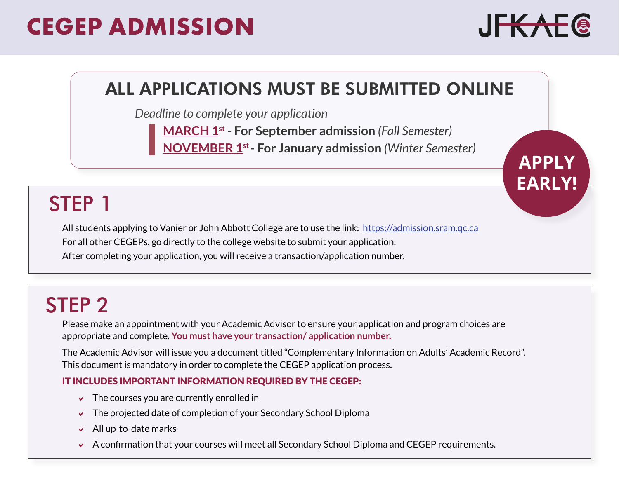# **CEGEP ADMISSION**



**APPLY** 

**EARLY!**

### ALL APPLICATIONS MUST BE SUBMITTED ONLINE

*Deadline to complete your application*

**MARCH 1st - For September admission** *(Fall Semester)* **NOVEMBER 1st- For January admission** *(Winter Semester)*

# STEP 1

All students applying to Vanier or John Abbott College are to use the link: https://admission.sram.qc.ca For all other CEGEPs, go directly to the college website to submit your application. After completing your application, you will receive a transaction/application number.

# STEP 2

Please make an appointment with your Academic Advisor to ensure your application and program choices are appropriate and complete. **You must have your transaction/ application number.**

The Academic Advisor will issue you a document titled "Complementary Information on Adults' Academic Record". This document is mandatory in order to complete the CEGEP application process.

### IT INCLUDES IMPORTANT INFORMATION REQUIRED BY THE CEGEP:

- $\vee$  The courses you are currently enrolled in
- $\triangledown$  The projected date of completion of your Secondary School Diploma
- $\blacktriangleright$  All up-to-date marks
- $\triangleright$  A confirmation that your courses will meet all Secondary School Diploma and CEGEP requirements.